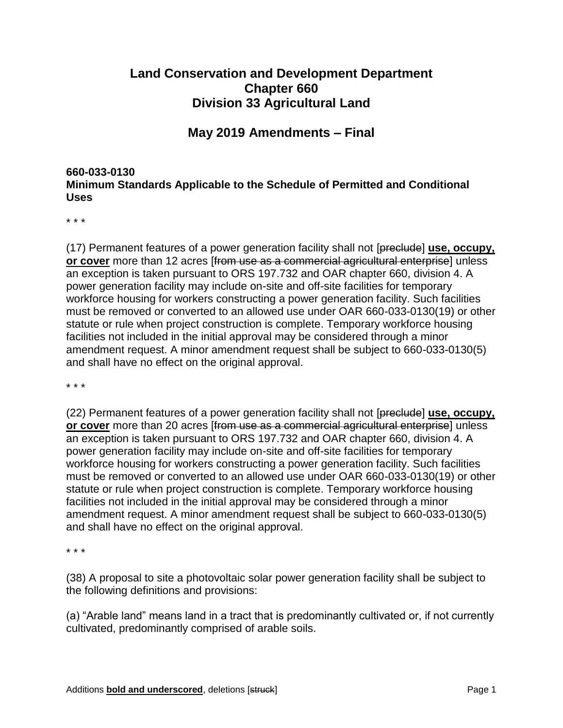## **Land Conservation and Development Department Chapter 660 Division 33 Agricultural Land**

## **May 2019 Amendments – Final**

### **660-033-0130 Minimum Standards Applicable to the Schedule of Permitted and Conditional Uses**

\* \* \*

(17) Permanent features of a power generation facility shall not [preclude] **use, occupy, or cover** more than 12 acres [from use as a commercial agricultural enterprise] unless an exception is taken pursuant to ORS 197.732 and OAR chapter 660, division 4. A power generation facility may include on-site and off-site facilities for temporary workforce housing for workers constructing a power generation facility. Such facilities must be removed or converted to an allowed use under OAR 660-033-0130(19) or other statute or rule when project construction is complete. Temporary workforce housing facilities not included in the initial approval may be considered through a minor amendment request. A minor amendment request shall be subject to 660-033-0130(5) and shall have no effect on the original approval.

\* \* \*

(22) Permanent features of a power generation facility shall not [preclude] **use, occupy, or cover** more than 20 acres [from use as a commercial agricultural enterprise] unless an exception is taken pursuant to ORS 197.732 and OAR chapter 660, division 4. A power generation facility may include on-site and off-site facilities for temporary workforce housing for workers constructing a power generation facility. Such facilities must be removed or converted to an allowed use under OAR 660-033-0130(19) or other statute or rule when project construction is complete. Temporary workforce housing facilities not included in the initial approval may be considered through a minor amendment request. A minor amendment request shall be subject to 660-033-0130(5) and shall have no effect on the original approval.

\* \* \*

(38) A proposal to site a photovoltaic solar power generation facility shall be subject to the following definitions and provisions:

(a) "Arable land" means land in a tract that is predominantly cultivated or, if not currently cultivated, predominantly comprised of arable soils.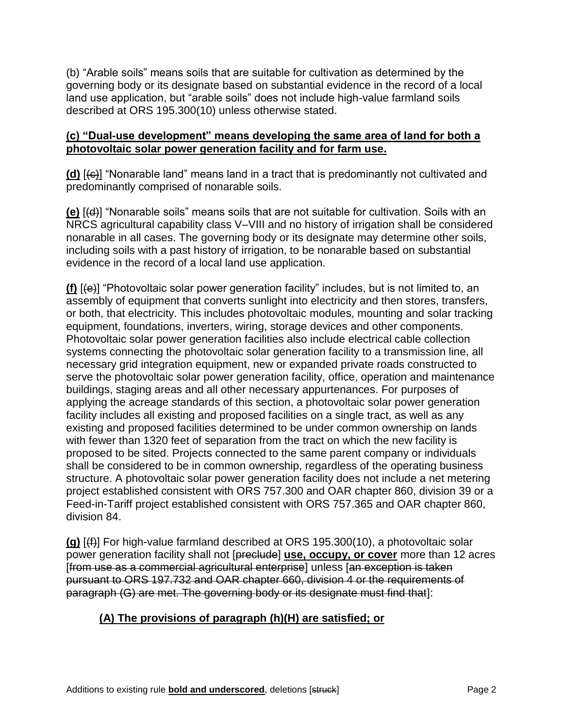(b) "Arable soils" means soils that are suitable for cultivation as determined by the governing body or its designate based on substantial evidence in the record of a local land use application, but "arable soils" does not include high-value farmland soils described at ORS 195.300(10) unless otherwise stated.

### **(c) "Dual-use development" means developing the same area of land for both a photovoltaic solar power generation facility and for farm use.**

**(d)** [(c)] "Nonarable land" means land in a tract that is predominantly not cultivated and predominantly comprised of nonarable soils.

**(e)** [(d)] "Nonarable soils" means soils that are not suitable for cultivation. Soils with an NRCS agricultural capability class V–VIII and no history of irrigation shall be considered nonarable in all cases. The governing body or its designate may determine other soils, including soils with a past history of irrigation, to be nonarable based on substantial evidence in the record of a local land use application.

**(f)** [(e)] "Photovoltaic solar power generation facility" includes, but is not limited to, an assembly of equipment that converts sunlight into electricity and then stores, transfers, or both, that electricity. This includes photovoltaic modules, mounting and solar tracking equipment, foundations, inverters, wiring, storage devices and other components. Photovoltaic solar power generation facilities also include electrical cable collection systems connecting the photovoltaic solar generation facility to a transmission line, all necessary grid integration equipment, new or expanded private roads constructed to serve the photovoltaic solar power generation facility, office, operation and maintenance buildings, staging areas and all other necessary appurtenances. For purposes of applying the acreage standards of this section, a photovoltaic solar power generation facility includes all existing and proposed facilities on a single tract, as well as any existing and proposed facilities determined to be under common ownership on lands with fewer than 1320 feet of separation from the tract on which the new facility is proposed to be sited. Projects connected to the same parent company or individuals shall be considered to be in common ownership, regardless of the operating business structure. A photovoltaic solar power generation facility does not include a net metering project established consistent with ORS 757.300 and OAR chapter 860, division 39 or a Feed-in-Tariff project established consistent with ORS 757.365 and OAR chapter 860, division 84.

**(g)** [(f)] For high-value farmland described at ORS 195.300(10), a photovoltaic solar power generation facility shall not [preclude] **use, occupy, or cover** more than 12 acres [from use as a commercial agricultural enterprise] unless [an exception is taken pursuant to ORS 197.732 and OAR chapter 660, division 4 or the requirements of paragraph (G) are met. The governing body or its designate must find that]:

# **(A) The provisions of paragraph (h)(H) are satisfied; or**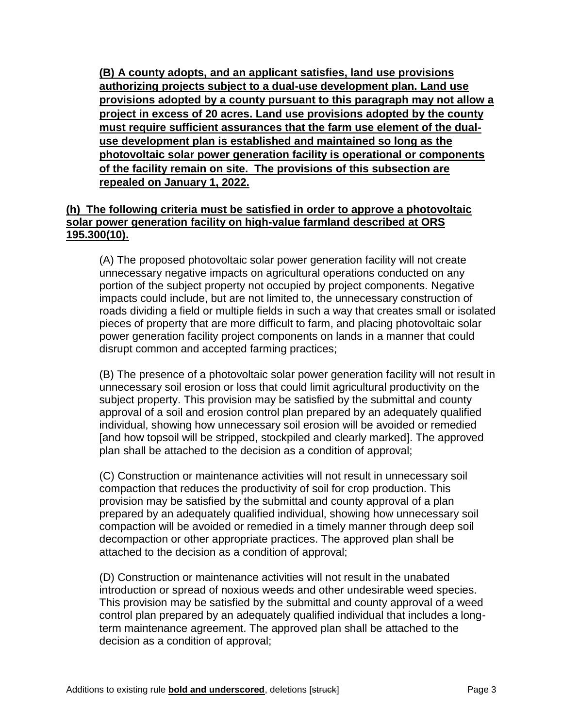**(B) A county adopts, and an applicant satisfies, land use provisions authorizing projects subject to a dual-use development plan. Land use provisions adopted by a county pursuant to this paragraph may not allow a project in excess of 20 acres. Land use provisions adopted by the county must require sufficient assurances that the farm use element of the dualuse development plan is established and maintained so long as the photovoltaic solar power generation facility is operational or components of the facility remain on site. The provisions of this subsection are repealed on January 1, 2022.**

### **(h) The following criteria must be satisfied in order to approve a photovoltaic solar power generation facility on high-value farmland described at ORS 195.300(10).**

(A) The proposed photovoltaic solar power generation facility will not create unnecessary negative impacts on agricultural operations conducted on any portion of the subject property not occupied by project components. Negative impacts could include, but are not limited to, the unnecessary construction of roads dividing a field or multiple fields in such a way that creates small or isolated pieces of property that are more difficult to farm, and placing photovoltaic solar power generation facility project components on lands in a manner that could disrupt common and accepted farming practices;

(B) The presence of a photovoltaic solar power generation facility will not result in unnecessary soil erosion or loss that could limit agricultural productivity on the subject property. This provision may be satisfied by the submittal and county approval of a soil and erosion control plan prepared by an adequately qualified individual, showing how unnecessary soil erosion will be avoided or remedied [and how topsoil will be stripped, stockpiled and clearly marked]. The approved plan shall be attached to the decision as a condition of approval;

(C) Construction or maintenance activities will not result in unnecessary soil compaction that reduces the productivity of soil for crop production. This provision may be satisfied by the submittal and county approval of a plan prepared by an adequately qualified individual, showing how unnecessary soil compaction will be avoided or remedied in a timely manner through deep soil decompaction or other appropriate practices. The approved plan shall be attached to the decision as a condition of approval;

(D) Construction or maintenance activities will not result in the unabated introduction or spread of noxious weeds and other undesirable weed species. This provision may be satisfied by the submittal and county approval of a weed control plan prepared by an adequately qualified individual that includes a longterm maintenance agreement. The approved plan shall be attached to the decision as a condition of approval;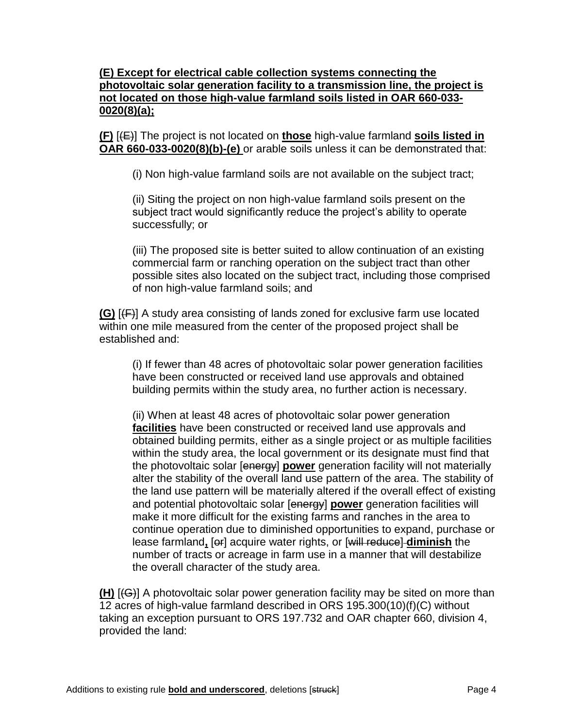### **(E) Except for electrical cable collection systems connecting the photovoltaic solar generation facility to a transmission line, the project is not located on those high-value farmland soils listed in OAR 660-033- 0020(8)(a);**

**(F)** [(E)] The project is not located on **those** high-value farmland **soils listed in OAR 660-033-0020(8)(b)-(e)** or arable soils unless it can be demonstrated that:

(i) Non high-value farmland soils are not available on the subject tract;

(ii) Siting the project on non high-value farmland soils present on the subject tract would significantly reduce the project's ability to operate successfully; or

(iii) The proposed site is better suited to allow continuation of an existing commercial farm or ranching operation on the subject tract than other possible sites also located on the subject tract, including those comprised of non high-value farmland soils; and

**(G)** [(F)] A study area consisting of lands zoned for exclusive farm use located within one mile measured from the center of the proposed project shall be established and:

(i) If fewer than 48 acres of photovoltaic solar power generation facilities have been constructed or received land use approvals and obtained building permits within the study area, no further action is necessary.

(ii) When at least 48 acres of photovoltaic solar power generation **facilities** have been constructed or received land use approvals and obtained building permits, either as a single project or as multiple facilities within the study area, the local government or its designate must find that the photovoltaic solar [energy] **power** generation facility will not materially alter the stability of the overall land use pattern of the area. The stability of the land use pattern will be materially altered if the overall effect of existing and potential photovoltaic solar [energy] **power** generation facilities will make it more difficult for the existing farms and ranches in the area to continue operation due to diminished opportunities to expand, purchase or lease farmland**,** [or] acquire water rights, or [will reduce] **diminish** the number of tracts or acreage in farm use in a manner that will destabilize the overall character of the study area.

**(H)** [(G)] A photovoltaic solar power generation facility may be sited on more than 12 acres of high-value farmland described in ORS 195.300(10)(f)(C) without taking an exception pursuant to ORS 197.732 and OAR chapter 660, division 4, provided the land: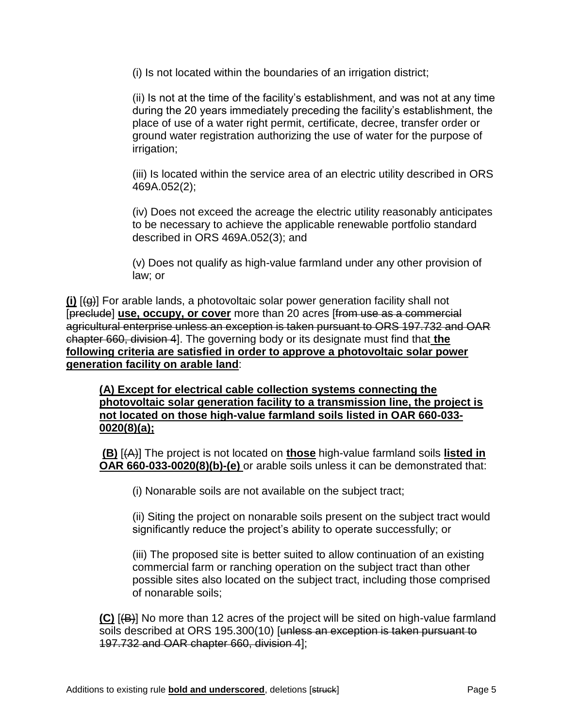(i) Is not located within the boundaries of an irrigation district;

(ii) Is not at the time of the facility's establishment, and was not at any time during the 20 years immediately preceding the facility's establishment, the place of use of a water right permit, certificate, decree, transfer order or ground water registration authorizing the use of water for the purpose of irrigation;

(iii) Is located within the service area of an electric utility described in ORS 469A.052(2);

(iv) Does not exceed the acreage the electric utility reasonably anticipates to be necessary to achieve the applicable renewable portfolio standard described in ORS 469A.052(3); and

(v) Does not qualify as high-value farmland under any other provision of law; or

**(i)** [(g)] For arable lands, a photovoltaic solar power generation facility shall not [preclude] **use, occupy, or cover** more than 20 acres [from use as a commercial agricultural enterprise unless an exception is taken pursuant to ORS 197.732 and OAR chapter 660, division 4]. The governing body or its designate must find that **the following criteria are satisfied in order to approve a photovoltaic solar power generation facility on arable land**:

**(A) Except for electrical cable collection systems connecting the photovoltaic solar generation facility to a transmission line, the project is not located on those high-value farmland soils listed in OAR 660-033- 0020(8)(a);**

**(B)** [(A)] The project is not located on **those** high-value farmland soils **listed in OAR 660-033-0020(8)(b)-(e)** or arable soils unless it can be demonstrated that:

(i) Nonarable soils are not available on the subject tract;

(ii) Siting the project on nonarable soils present on the subject tract would significantly reduce the project's ability to operate successfully; or

(iii) The proposed site is better suited to allow continuation of an existing commercial farm or ranching operation on the subject tract than other possible sites also located on the subject tract, including those comprised of nonarable soils;

**(C)** [(B)] No more than 12 acres of the project will be sited on high-value farmland soils described at ORS 195.300(10) [unless an exception is taken pursuant to 197.732 and OAR chapter 660, division 4];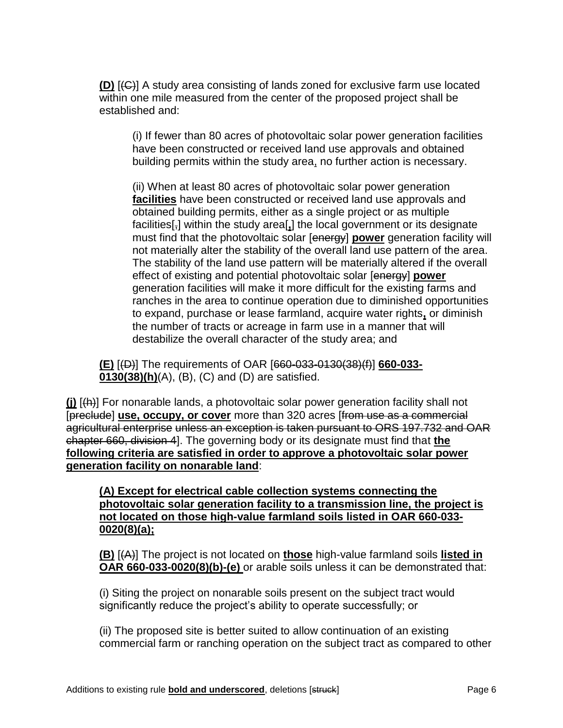**(D)** [(C)] A study area consisting of lands zoned for exclusive farm use located within one mile measured from the center of the proposed project shall be established and:

(i) If fewer than 80 acres of photovoltaic solar power generation facilities have been constructed or received land use approvals and obtained building permits within the study area, no further action is necessary.

(ii) When at least 80 acres of photovoltaic solar power generation **facilities** have been constructed or received land use approvals and obtained building permits, either as a single project or as multiple facilities[,] within the study area[**,**] the local government or its designate must find that the photovoltaic solar [energy] **power** generation facility will not materially alter the stability of the overall land use pattern of the area. The stability of the land use pattern will be materially altered if the overall effect of existing and potential photovoltaic solar [energy] **power** generation facilities will make it more difficult for the existing farms and ranches in the area to continue operation due to diminished opportunities to expand, purchase or lease farmland, acquire water rights**,** or diminish the number of tracts or acreage in farm use in a manner that will destabilize the overall character of the study area; and

**(E)** [(D)] The requirements of OAR [660-033-0130(38)(f)] **660-033- 0130(38)(h)**(A), (B), (C) and (D) are satisfied.

**(j)** [(h)] For nonarable lands, a photovoltaic solar power generation facility shall not [preclude] **use, occupy, or cover** more than 320 acres [from use as a commercial agricultural enterprise unless an exception is taken pursuant to ORS 197.732 and OAR chapter 660, division 4]. The governing body or its designate must find that **the following criteria are satisfied in order to approve a photovoltaic solar power generation facility on nonarable land**:

**(A) Except for electrical cable collection systems connecting the photovoltaic solar generation facility to a transmission line, the project is not located on those high-value farmland soils listed in OAR 660-033- 0020(8)(a);**

**(B)** [(A)] The project is not located on **those** high-value farmland soils **listed in OAR 660-033-0020(8)(b)-(e)** or arable soils unless it can be demonstrated that:

(i) Siting the project on nonarable soils present on the subject tract would significantly reduce the project's ability to operate successfully; or

(ii) The proposed site is better suited to allow continuation of an existing commercial farm or ranching operation on the subject tract as compared to other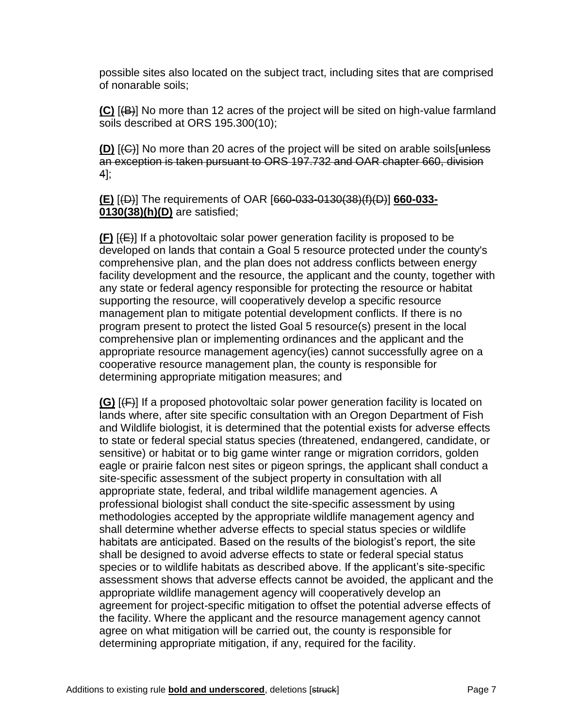possible sites also located on the subject tract, including sites that are comprised of nonarable soils;

**(C)** [(B)] No more than 12 acres of the project will be sited on high-value farmland soils described at ORS 195.300(10);

**(D)** [(C)] No more than 20 acres of the project will be sited on arable soils[unless an exception is taken pursuant to ORS 197.732 and OAR chapter 660, division 4];

**(E)** [(D)] The requirements of OAR [660-033-0130(38)(f)(D)] **660-033- 0130(38)(h)(D)** are satisfied;

**(F)** [(E)] If a photovoltaic solar power generation facility is proposed to be developed on lands that contain a Goal 5 resource protected under the county's comprehensive plan, and the plan does not address conflicts between energy facility development and the resource, the applicant and the county, together with any state or federal agency responsible for protecting the resource or habitat supporting the resource, will cooperatively develop a specific resource management plan to mitigate potential development conflicts. If there is no program present to protect the listed Goal 5 resource(s) present in the local comprehensive plan or implementing ordinances and the applicant and the appropriate resource management agency(ies) cannot successfully agree on a cooperative resource management plan, the county is responsible for determining appropriate mitigation measures; and

**(G)** [(F)] If a proposed photovoltaic solar power generation facility is located on lands where, after site specific consultation with an Oregon Department of Fish and Wildlife biologist, it is determined that the potential exists for adverse effects to state or federal special status species (threatened, endangered, candidate, or sensitive) or habitat or to big game winter range or migration corridors, golden eagle or prairie falcon nest sites or pigeon springs, the applicant shall conduct a site-specific assessment of the subject property in consultation with all appropriate state, federal, and tribal wildlife management agencies. A professional biologist shall conduct the site-specific assessment by using methodologies accepted by the appropriate wildlife management agency and shall determine whether adverse effects to special status species or wildlife habitats are anticipated. Based on the results of the biologist's report, the site shall be designed to avoid adverse effects to state or federal special status species or to wildlife habitats as described above. If the applicant's site-specific assessment shows that adverse effects cannot be avoided, the applicant and the appropriate wildlife management agency will cooperatively develop an agreement for project-specific mitigation to offset the potential adverse effects of the facility. Where the applicant and the resource management agency cannot agree on what mitigation will be carried out, the county is responsible for determining appropriate mitigation, if any, required for the facility.